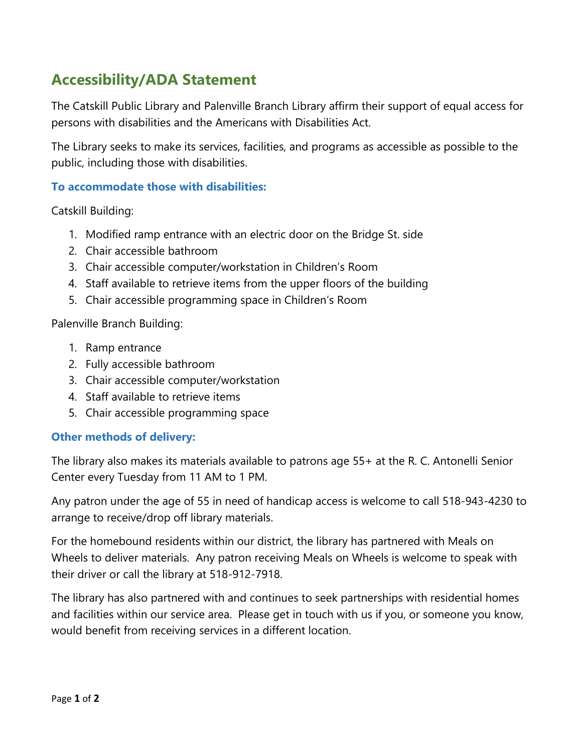## **Accessibility/ADA Statement**

The Catskill Public Library and Palenville Branch Library affirm their support of equal access for persons with disabilities and the Americans with Disabilities Act.

The Library seeks to make its services, facilities, and programs as accessible as possible to the public, including those with disabilities.

## **To accommodate those with disabilities:**

Catskill Building:

- 1. Modified ramp entrance with an electric door on the Bridge St. side
- 2. Chair accessible bathroom
- 3. Chair accessible computer/workstation in Children's Room
- 4. Staff available to retrieve items from the upper floors of the building
- 5. Chair accessible programming space in Children's Room

Palenville Branch Building:

- 1. Ramp entrance
- 2. Fully accessible bathroom
- 3. Chair accessible computer/workstation
- 4. Staff available to retrieve items
- 5. Chair accessible programming space

## **Other methods of delivery:**

The library also makes its materials available to patrons age 55+ at the R. C. Antonelli Senior Center every Tuesday from 11 AM to 1 PM.

Any patron under the age of 55 in need of handicap access is welcome to call 518-943-4230 to arrange to receive/drop off library materials.

For the homebound residents within our district, the library has partnered with Meals on Wheels to deliver materials. Any patron receiving Meals on Wheels is welcome to speak with their driver or call the library at 518-912-7918.

The library has also partnered with and continues to seek partnerships with residential homes and facilities within our service area. Please get in touch with us if you, or someone you know, would benefit from receiving services in a different location.